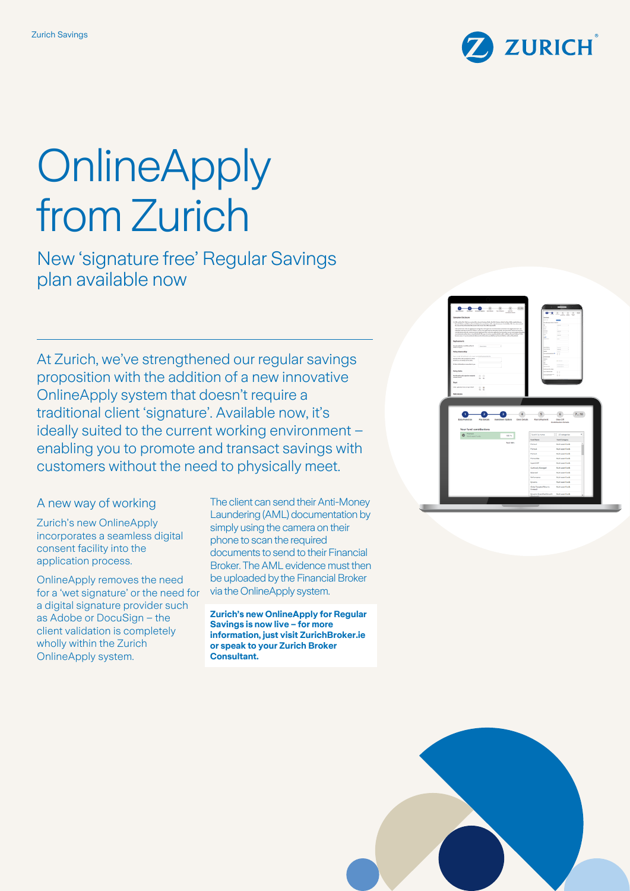

# **OnlineApply** from Zurich

New 'signature free' Regular Savings plan available now

At Zurich, we've strengthened our regular savings proposition with the addition of a new innovative OnlineApply system that doesn't require a traditional client 'signature'. Available now, it's ideally suited to the current working environment – enabling you to promote and transact savings with customers without the need to physically meet.

A new way of working

Zurich's new OnlineApply incorporates a seamless digital consent facility into the application process.

OnlineApply removes the need for a 'wet signature' or the need for a digital signature provider such as Adobe or DocuSign – the client validation is completely wholly within the Zurich OnlineApply system.

The client can send their Anti-Money Laundering (AML) documentation by simply using the camera on their phone to scan the required documents to send to their Financial Broker. The AML evidence must then be uploaded by the Financial Broker via the OnlineApply system.

**Zurich's new OnlineApply for Regular Savings is now live – for more information, just visit ZurichBroker.ie or speak to your Zurich Broker Consultant.**